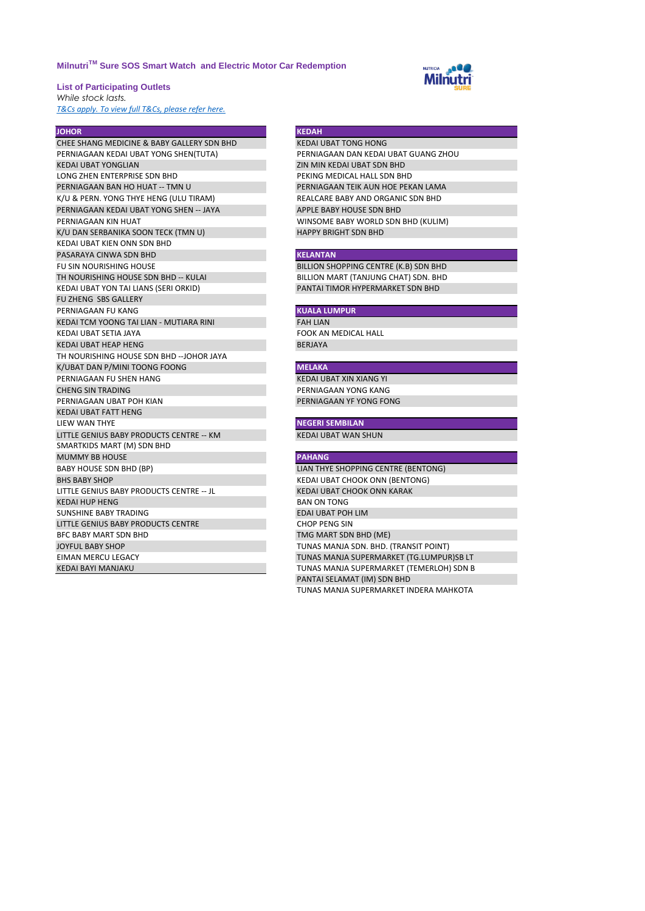# **MilnutriTM Sure SOS Smart Watch and Electric Motor Car Redemption**

**List of Participating Outlets** *While stock lasts.* 

*[T&Cs apply. To view full T&Cs, please refer here.](https://milnutri.com.my/terms-of-use)*

CHEE SHANG MEDICINE & BABY GALLERY SDN BHD KEDAI UBAT TONG HONG PERNIAGAAN KEDAI UBAT YONG SHEN(TUTA) PERNIAGAAN DAN KEDAI UBAT GUANG ZHOU KEDAI UBAT YONGLIAN ZIN MIN KEDAI UBAT SDN BHD LONG ZHEN ENTERPRISE SDN BHD PEKING MEDICAL HALL SDN BHD PERNIAGAAN BAN HO HUAT -- TMN U CHANG PERNIAGAAN TEIK AUN HOE PEKAN LAMA K/U & PERN. YONG THYE HENG (ULU TIRAM) REALCARE BABY AND ORGANIC SDN BHD PERNIAGAAN KEDAI UBAT YONG SHEN -- JAYA APPLE BABY HOUSE SDN BHD PERNIAGAAN KIN HUAT VINSOME BABY WORLD SDN BHD (KULIM)<br>
K/U DAN SERBANIKA SOON TECK (TMN U) HAPPY BRIGHT SDN BHD K/U DAN SERBANIKA SOON TECK (TMN U) KEDAI UBAT KIEN ONN SDN BHD PASARAYA CINWA SDN BHD **KELANTAN** FU SIN NOURISHING HOUSE<br>TH NOURISHING HOUSE SDN BHD -- KULAI BILLION MART (TANJUNG CHAT) SDN. BHD KEDAI UBAT YON TAI LIANS (SERI ORKID) PANTAI TIMOR HYPERMARKET SDN BHD FU ZHENG SBS GALLERY **PERNIAGAAN FU KANG ANG KUALA LUMPUR** KEDAI TCM YOONG TAI LIAN - MUTIARA RINI FAH TAH LIAN KEDAI UBAT SETIA JAYA FOOK AN MEDICAL HALL KEDAI UBAT HEAP HENG BERJAYA BERJAYA BERJAYA BERJAYA BERJAYA BERJAYA BERJAYA BERJAYA BERJAYA BERJAYA BERJAYA BERJAYA TH NOURISHING HOUSE SDN BHD --JOHOR JAYA K/UBAT DAN P/MINI TOONG FOONG **MELAKA** PERNIAGAAN FU SHEN HANG KEDAI UBAT XIN XIANG YI CHENG SIN TRADING PERNIAGAAN YONG KANG PERNIAGAAN UBAT POH KIAN KEDAI UBAT FATT HENG **LIEW WAN THYE NEGERI SEMBILAN** LITTLE GENIUS BABY PRODUCTS CENTRE -- KM KEDAI UBAT WAN SHUN SMARTKIDS MART (M) SDN BHD MUMMY BB HOUSE **PAHANG** BABY HOUSE SDN BHD (BP) **LIAN THYE SHOPPING CENTRE (BENTONG)**<br>BHS BABY SHOP **DENTONG** LITTLE GENIUS BABY PRODUCTS CENTRE -- JL<br>KEDAI HUP HENG<br>BAN ON TONG KEDAI HUP HENG SUNSHINE BABY TRADING **EDAI UBAT POH LIM** LITTLE GENIUS BABY PRODUCTS CENTRE CHOP PENG SIN BFC BABY MART SDN BHD TMG MART SDN BHD (ME) JOYFUL BABY SHOP TUNAS MANJA SDN. BHD. (TRANSIT POINT) EIMAN MERCU LEGACY TUNAS MANJA SUPERMARKET (TG.LUMPUR)SB LT KEDAI BAYI MANJAKU TUNAS MANJA SUPERMARKET (TEMERLOH) SDN B

### **JOHOR KEDAH**

BILLION MART (TANJUNG CHAT) SDN. BHD

KEDAI UBAT CHOOK ONN (BENTONG) PANTAI SELAMAT (IM) SDN BHD TUNAS MANJA SUPERMARKET INDERA MAHKOTA